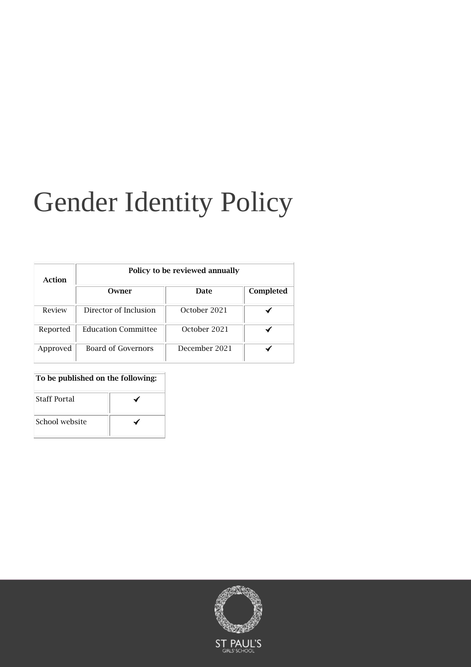# Gender Identity Policy

| Action   | Policy to be reviewed annually |               |           |
|----------|--------------------------------|---------------|-----------|
|          | Owner                          | Date          | Completed |
| Review   | Director of Inclusion          | October 2021  |           |
| Reported | <b>Education Committee</b>     | October 2021  |           |
| Approved | Board of Governors             | December 2021 |           |

#### To be published on the following:

| <b>Staff Portal</b> |  |  |
|---------------------|--|--|
| School website      |  |  |

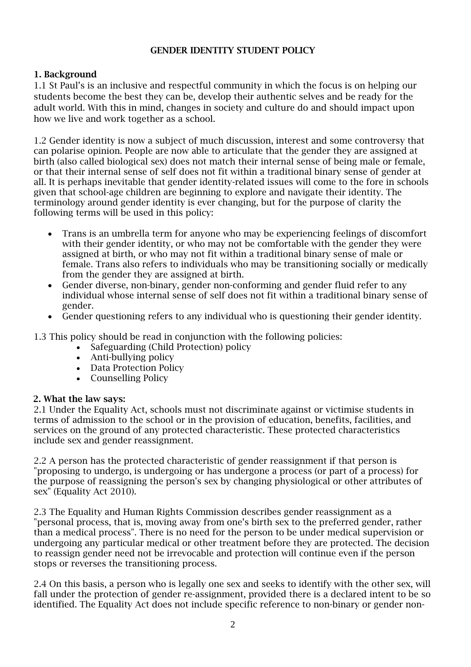## GENDER IDENTITY STUDENT POLICY

# 1. Background

1.1 St Paul's is an inclusive and respectful community in which the focus is on helping our students become the best they can be, develop their authentic selves and be ready for the adult world. With this in mind, changes in society and culture do and should impact upon how we live and work together as a school.

1.2 Gender identity is now a subject of much discussion, interest and some controversy that can polarise opinion. People are now able to articulate that the gender they are assigned at birth (also called biological sex) does not match their internal sense of being male or female, or that their internal sense of self does not fit within a traditional binary sense of gender at all. It is perhaps inevitable that gender identity-related issues will come to the fore in schools given that school-age children are beginning to explore and navigate their identity. The terminology around gender identity is ever changing, but for the purpose of clarity the following terms will be used in this policy:

- Trans is an umbrella term for anyone who may be experiencing feelings of discomfort with their gender identity, or who may not be comfortable with the gender they were assigned at birth, or who may not fit within a traditional binary sense of male or female. Trans also refers to individuals who may be transitioning socially or medically from the gender they are assigned at birth.
- Gender diverse, non-binary, gender non-conforming and gender fluid refer to any individual whose internal sense of self does not fit within a traditional binary sense of gender.
- Gender questioning refers to any individual who is questioning their gender identity.

1.3 This policy should be read in conjunction with the following policies:

- Safeguarding (Child Protection) policy
- Anti-bullying policy
- Data Protection Policy
- Counselling Policy

## 2. What the law says:

2.1 Under the Equality Act, schools must not discriminate against or victimise students in terms of admission to the school or in the provision of education, benefits, facilities, and services on the ground of any protected characteristic. These protected characteristics include sex and gender reassignment.

2.2 A person has the protected characteristic of gender reassignment if that person is "proposing to undergo, is undergoing or has undergone a process (or part of a process) for the purpose of reassigning the person's sex by changing physiological or other attributes of sex" (Equality Act 2010).

2.3 The Equality and Human Rights Commission describes gender reassignment as a "personal process, that is, moving away from one's birth sex to the preferred gender, rather than a medical process". There is no need for the person to be under medical supervision or undergoing any particular medical or other treatment before they are protected. The decision to reassign gender need not be irrevocable and protection will continue even if the person stops or reverses the transitioning process.

2.4 On this basis, a person who is legally one sex and seeks to identify with the other sex, will fall under the protection of gender re-assignment, provided there is a declared intent to be so identified. The Equality Act does not include specific reference to non-binary or gender non-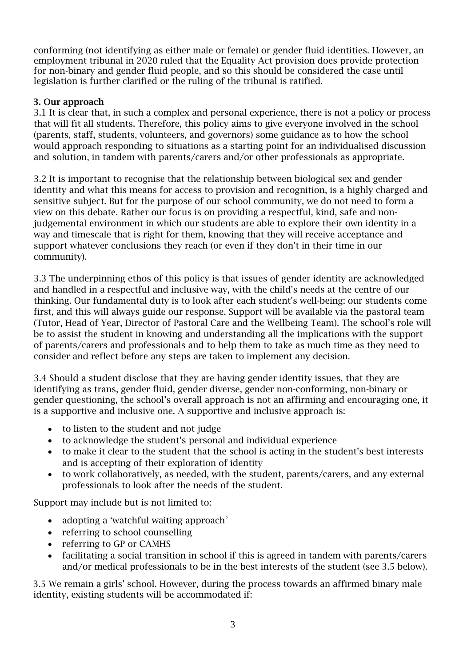conforming (not identifying as either male or female) or gender fluid identities. However, an employment tribunal in 2020 ruled that the Equality Act provision does provide protection for non-binary and gender fluid people, and so this should be considered the case until legislation is further clarified or the ruling of the tribunal is ratified.

# 3. Our approach

3.1 It is clear that, in such a complex and personal experience, there is not a policy or process that will fit all students. Therefore, this policy aims to give everyone involved in the school (parents, staff, students, volunteers, and governors) some guidance as to how the school would approach responding to situations as a starting point for an individualised discussion and solution, in tandem with parents/carers and/or other professionals as appropriate.

3.2 It is important to recognise that the relationship between biological sex and gender identity and what this means for access to provision and recognition, is a highly charged and sensitive subject. But for the purpose of our school community, we do not need to form a view on this debate. Rather our focus is on providing a respectful, kind, safe and nonjudgemental environment in which our students are able to explore their own identity in a way and timescale that is right for them, knowing that they will receive acceptance and support whatever conclusions they reach (or even if they don't in their time in our community).

3.3 The underpinning ethos of this policy is that issues of gender identity are acknowledged and handled in a respectful and inclusive way, with the child's needs at the centre of our thinking. Our fundamental duty is to look after each student's well-being: our students come first, and this will always guide our response. Support will be available via the pastoral team (Tutor, Head of Year, Director of Pastoral Care and the Wellbeing Team). The school's role will be to assist the student in knowing and understanding all the implications with the support of parents/carers and professionals and to help them to take as much time as they need to consider and reflect before any steps are taken to implement any decision.

3.4 Should a student disclose that they are having gender identity issues, that they are identifying as trans, gender fluid, gender diverse, gender non-conforming, non-binary or gender questioning, the school's overall approach is not an affirming and encouraging one, it is a supportive and inclusive one. A supportive and inclusive approach is:

- to listen to the student and not judge
- to acknowledge the student's personal and individual experience
- to make it clear to the student that the school is acting in the student's best interests and is accepting of their exploration of identity
- to work collaboratively, as needed, with the student, parents/carers, and any external professionals to look after the needs of the student.

Support may include but is not limited to:

- adopting a 'watchful waiting approach'
- referring to school counselling
- referring to GP or CAMHS
- facilitating a social transition in school if this is agreed in tandem with parents/carers and/or medical professionals to be in the best interests of the student (see 3.5 below).

3.5 We remain a girls' school. However, during the process towards an affirmed binary male identity, existing students will be accommodated if: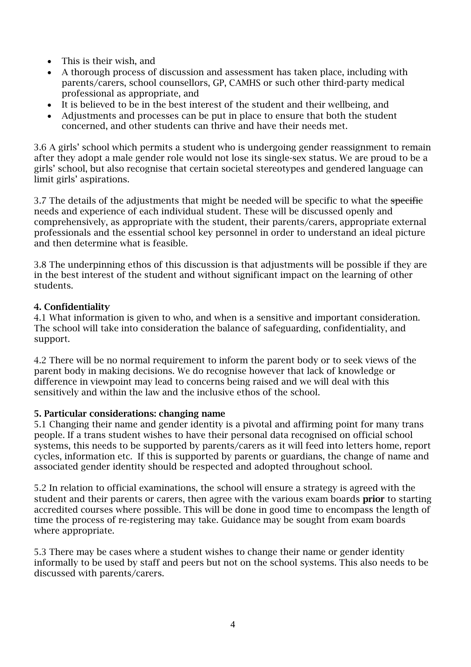- This is their wish, and
- A thorough process of discussion and assessment has taken place, including with parents/carers, school counsellors, GP, CAMHS or such other third-party medical professional as appropriate, and
- It is believed to be in the best interest of the student and their wellbeing, and
- Adjustments and processes can be put in place to ensure that both the student concerned, and other students can thrive and have their needs met.

3.6 A girls' school which permits a student who is undergoing gender reassignment to remain after they adopt a male gender role would not lose its single-sex status. We are proud to be a girls' school, but also recognise that certain societal stereotypes and gendered language can limit girls' aspirations.

3.7 The details of the adjustments that might be needed will be specific to what the specific needs and experience of each individual student. These will be discussed openly and comprehensively, as appropriate with the student, their parents/carers, appropriate external professionals and the essential school key personnel in order to understand an ideal picture and then determine what is feasible.

3.8 The underpinning ethos of this discussion is that adjustments will be possible if they are in the best interest of the student and without significant impact on the learning of other students.

# 4. Confidentiality

4.1 What information is given to who, and when is a sensitive and important consideration. The school will take into consideration the balance of safeguarding, confidentiality, and support.

4.2 There will be no normal requirement to inform the parent body or to seek views of the parent body in making decisions. We do recognise however that lack of knowledge or difference in viewpoint may lead to concerns being raised and we will deal with this sensitively and within the law and the inclusive ethos of the school.

## 5. Particular considerations: changing name

5.1 Changing their name and gender identity is a pivotal and affirming point for many trans people. If a trans student wishes to have their personal data recognised on official school systems, this needs to be supported by parents/carers as it will feed into letters home, report cycles, information etc. If this is supported by parents or guardians, the change of name and associated gender identity should be respected and adopted throughout school.

5.2 In relation to official examinations, the school will ensure a strategy is agreed with the student and their parents or carers, then agree with the various exam boards **prior** to starting accredited courses where possible. This will be done in good time to encompass the length of time the process of re-registering may take. Guidance may be sought from exam boards where appropriate.

5.3 There may be cases where a student wishes to change their name or gender identity informally to be used by staff and peers but not on the school systems. This also needs to be discussed with parents/carers.